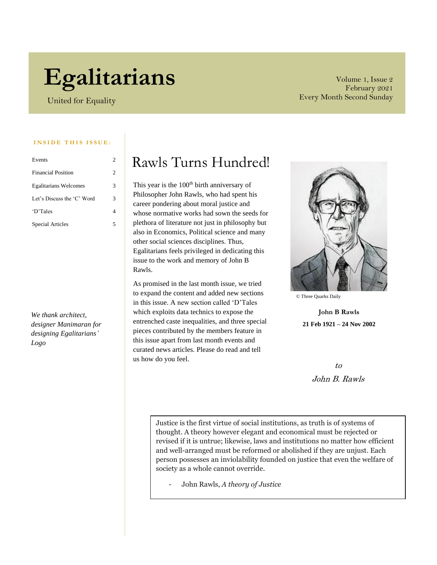# **Egalitarians**

United for Equality

Volume 1, Issue 2 February 2021 Every Month Second Sunday

#### **INSIDE THIS ISSUE:**

| Events                       | 2 |
|------------------------------|---|
| <b>Financial Position</b>    | 2 |
| <b>Egalitarians Welcomes</b> | 3 |
| Let's Discuss the 'C' Word   | 3 |
| 'D'Tales                     | 4 |
| Special Articles             | 5 |

*We thank architect, designer Manimaran for designing Egalitarians' Logo*

# Rawls Turns Hundred!

This year is the 100<sup>th</sup> birth anniversary of Philosopher John Rawls, who had spent his career pondering about moral justice and whose normative works had sown the seeds for plethora of literature not just in philosophy but also in Economics, Political science and many other social sciences disciplines. Thus, Egalitarians feels privileged in dedicating this issue to the work and memory of John B Rawls.

As promised in the last month issue, we tried to expand the content and added new sections in this issue. A new section called 'D'Tales which exploits data technics to expose the entrenched caste inequalities, and three special pieces contributed by the members feature in this issue apart from last month events and curated news articles. Please do read and tell us how do you feel.



© Three Quarks Daily

**John B Rawls 21 Feb 1921 – 24 Nov 2002**

> to John B. Rawls

Justice is the first virtue of social institutions, as truth is of systems of thought. A theory however elegant and economical must be rejected or revised if it is untrue; likewise, laws and institutions no matter how efficient and well-arranged must be reformed or abolished if they are unjust. Each person possesses an inviolability founded on justice that even the welfare of society as a whole cannot override.

- John Rawls, *A theory of Justice*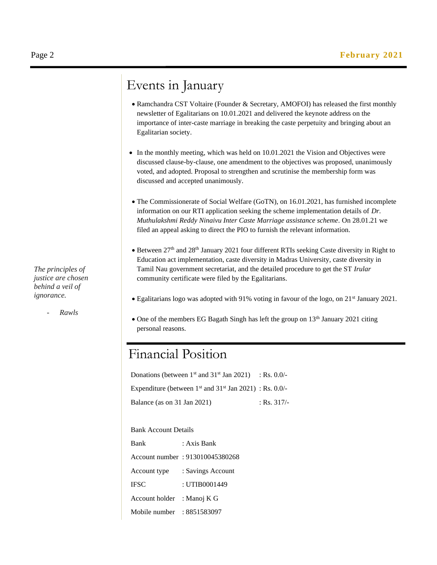# Events in January

- Ramchandra CST Voltaire (Founder & Secretary, AMOFOI) has released the first monthly newsletter of Egalitarians on 10.01.2021 and delivered the keynote address on the importance of inter-caste marriage in breaking the caste perpetuity and bringing about an Egalitarian society.
- In the monthly meeting, which was held on 10.01.2021 the Vision and Objectives were discussed clause-by-clause, one amendment to the objectives was proposed, unanimously voted, and adopted. Proposal to strengthen and scrutinise the membership form was discussed and accepted unanimously.
- The Commissionerate of Social Welfare (GoTN), on 16.01.2021, has furnished incomplete information on our RTI application seeking the scheme implementation details of *Dr. Muthulakshmi Reddy Ninaivu Inter Caste Marriage assistance scheme.* On 28.01.21 we filed an appeal asking to direct the PIO to furnish the relevant information.
- Between 27<sup>th</sup> and 28<sup>th</sup> January 2021 four different RTIs seeking Caste diversity in Right to Education act implementation, caste diversity in Madras University, caste diversity in Tamil Nau government secretariat, and the detailed procedure to get the ST *Irular* community certificate were filed by the Egalitarians.
- Egalitarians logo was adopted with 91% voting in favour of the logo, on 21<sup>st</sup> January 2021.
- One of the members EG Bagath Singh has left the group on  $13<sup>th</sup>$  January 2021 citing personal reasons.

## Financial Position

Donations (between  $1^{st}$  and  $31^{st}$  Jan 2021) : Rs. 0.0/-Expenditure (between  $1<sup>st</sup>$  and  $31<sup>st</sup>$  Jan 2021) : Rs. 0.0/-Balance (as on 31 Jan 2021) : Rs. 317/-

| <b>Bank Account Details</b> |                                 |
|-----------------------------|---------------------------------|
| Bank                        | · Axis Bank                     |
|                             | Account number: 913010045380268 |
| Account type                | : Savings Account               |
| <b>IFSC</b>                 | : UTIB0001449                   |
| Account holder              | : Manoj K G                     |
| Mobile number               | : 8851583097                    |

*The principles of justice are chosen behind a veil of ignorance.*

- *Rawls*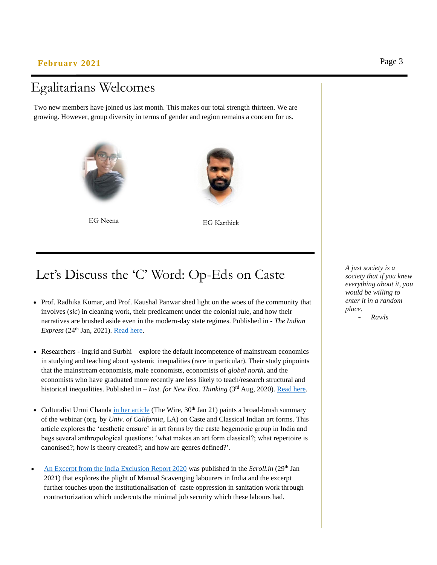#### **February 2021** Page 3

## Egalitarians Welcomes

Two new members have joined us last month. This makes our total strength thirteen. We are growing. However, group diversity in terms of gender and region remains a concern for us.





EG Neena EG Karthick

# Let's Discuss the 'C' Word: Op-Eds on Caste

- Prof. Radhika Kumar, and Prof. Kaushal Panwar shed light on the woes of the community that involves (*sic*) in cleaning work, their predicament under the colonial rule, and how their narratives are brushed aside even in the modern-day state regimes. Published in - *The Indian*   $Express (24<sup>th</sup> Jan, 2021).$  Read here.
- Researchers Ingrid and Surbhi explore the default incompetence of mainstream economics in studying and teaching about systemic inequalities (race in particular). Their study pinpoints that the mainstream economists, male economists, economists of *global north*, and the economists who have graduated more recently are less likely to teach/research structural and historical inequalities. Published in – *Inst. for New Eco. Thinking* (3<sup>rd</sup> Aug, 2020). [Read here.](https://www.ineteconomics.org/perspectives/blog/why-do-economists-have-trouble-understanding-racialized-inequalities#.Xyl8c7vaEp8.twitter)
- Culturalist Urmi Chanda [in her article](https://m.thewire.in/article/the/performing-arts-music-dance-caste/amp) (The Wire,  $30<sup>th</sup>$  Jan 21) paints a broad-brush summary of the webinar (org. by *Univ. of California*, LA) on Caste and Classical Indian art forms. This article explores the 'aesthetic erasure' in art forms by the caste hegemonic group in India and begs several anthropological questions: 'what makes an art form classical?; what repertoire is canonised?; how is theory created?; and how are genres defined?'.
- [An Excerpt from the India Exclusion Report 2020](https://scroll.in/article/984297/how-caste-oppression-is-institutionalised-in-indias-sanitation-jobs) was published in the *Scroll.in* (29th Jan 2021) that explores the plight of Manual Scavenging labourers in India and the excerpt further touches upon the institutionalisation of caste oppression in sanitation work through contractorization which undercuts the minimal job security which these labours had.

*A just society is a society that if you knew everything about it, you would be willing to enter it in a random place.* - *Rawls*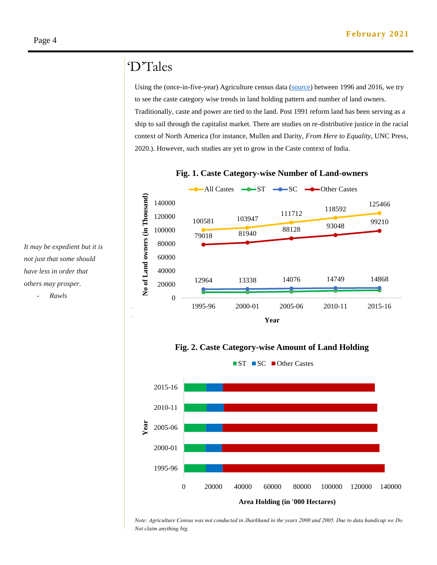### 'D'Tales

Using the (once-in-five-year) Agriculture census data [\(source\)](http://agcensus.nic.in/document/introagcen.htm#:~:text=of%20India%20has%20been%20conducting,1970%2D71%20as%20the%20reference.&text=The%20Census%20data%20fills%20in,felt%20gap%20in%20agricultural%20statistics.) between 1996 and 2016, we try to see the caste category wise trends in land holding pattern and number of land owners. Traditionally, caste and power are tied to the land. Post 1991 reform land has been serving as a ship to sail through the capitalist market. There are studies on re-distributive justice in the racial context of North America (for instance, Mullen and Darity, *From Here to Equality*, UNC Press, 2020.). However, such studies are yet to grow in the Caste context of India.



#### **Fig. 1. Caste Category-wise Number of Land-owners**

**Fig. 2. Caste Category-wise Amount of Land Holding**



*Note: Agriculture Census was not conducted in Jharkhand in the years 2000 and 2005. Due to data handicap we Do Not claim anything big.*

*It may be expedient but it is not just that some should have less in order that others may prosper.*

- *Rawls*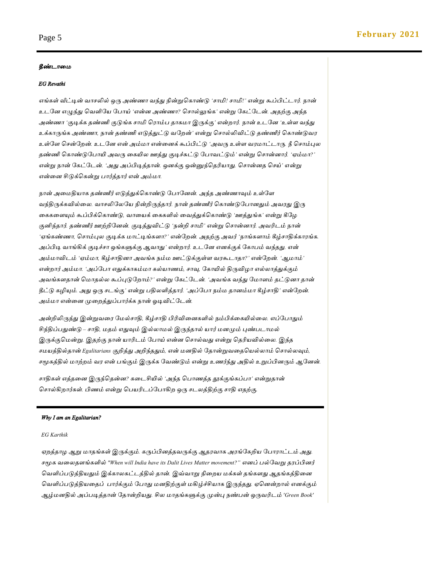#### *தீண்டாமை*

#### *EG Revathi*

*எங்கள் வீட்டின் வாசலில் ஒரு அண்ணா வந்து நின்றுககாண்டு 'சாமி! சாமி!' என்று கூப்பிட்டார். நான் உடனே எழுந்து கவளினே ன ாய் 'என்ே அண்ணா? கசால்லுங்க' என்று னகட்னடன். அதற்கு அந்த அண்ணா 'குடிக்க தண்ணி குடுங்க சாமி க ாம் தாகைா இருக்கு' என்றார். நான் உடனே 'உள்ள வந்து*  உக்காருங்க அண்ணா, நான் தண்ணி எடுத்துட்டு வறேன்*'* என்று சொல்லிவிட்டு தண்ணீர் கொண்டுவர உள்ளே சென்றேன். உடனே என் அம்மா என்னைக் கூப்பிட்டு *'அவரு உள்ள வரமாட்டாரு. நீ சொம்புல தண்ணி ககாண்டுன ாயி அவரு மகயில ஊத்து குடிச்சுட்டு ன ாவட்டும்' என்று கசான்ோர். 'ஏம்ைா?'*  என்று நான் கேட்டேன். *'அது அப்பிடித்தான். ஒனக்கு ஒன்னுந்தெரியாது. சொன்னத செய்' என்று என்மே சிடுக்ககன்று ார்த்தார் என் அம்ைா.*

*நான் அமைதிோக தண்ணீர் எடுத்துக்ககாண்டு ன ானேன். அந்த அண்ணாவும் உள்னள*  வந்திருக்கவில்லை. வாசலிலேயே நின்றிருந்தார். நான் தண்ணீர் கொண்டுபோனது<mark>ம்</mark> அவரது இரு கைகளையும் கூப்பிக்கொண்டு, வாயைக் கைகளில் வைத்துக்கொண்டு *'ஊத்துங்க' என்று கீழே குனிந்தார். தண்ணீர் ஊற்றினேன். குடித்துவிட்டு 'நன்றி சாமி' என்று கசான்ோர். அவரிடம் நான் 'ஏங்கண்ணா, சொம்புல குடிக்க மாட்டிங்களா?' என்றேன். அதற்கு அவர் 'நாங்களாம் கீழ்சாதிக்காரங்க*. *அப்பிடி வாங்கிக் குடிச்சா ஒங்களுக்கு ஆவாது' என்றார். உடனே எேக்குக் னகா ம் வந்தது. என் அம்ைாவிடம் 'ஏம்ைா, கீழ்சாதிோ அவங்க நம்ை ஊட்டுக்குள்ள வ கூடாதா?' என்னறன். 'ஆைாம்' என்றார் அம்ைா. 'அப்ன ா எதுக்காகம்ைா கல்ோணம், சாவு, னகாயில் திருவிோ எல்லாத்துக்கும் அவங்களதான் கைாதல்ல கூப்புடுனறாம்?' என்று னகட்னடன். 'அவங்க வந்து னைாளம் தட்டுோ தான் தீட்டு கழியும். அது ஒரு சடங்கு' என்று திலளித்தார். 'அப்ன ா நம்ை தாேம்ைா கீழ்சாதி' என்னறன். அம்ைா என்மே முமறத்துப் ார்க்க நான் ஓடிவிட்னடன்.* 

அன்றிலிருந்து இன்றுவரை மேல்சாதி, கீழ்சாதி பிரிவினைகளில் நம்பிக்கையில்லை. எப்போதும் *சிந்திப் துண்டு – சாதி, ைதம் எதுவும் இல்லாைல் இருந்தால் ோர் ைேமும் புண் டாைல் இருக்குகைன்று. இதற்கு நான் ோரிடம் ன ாய் என்ே கசால்வது என்று கதரிேவில்மல. இந்த சைேத்தில்தான் Egalitarians குறித்து அறிந்ததும், என் ைேதில் னதான்றுவமதகேல்லாம் கசால்லவும், சமூகத்தில் ைாற்றம் வ என் ங்கும் இருக்க னவண்டும் என்று உணர்ந்து அதில் உறுப்பிேரும் ஆனேன்.* 

சாதிகள் எத்தனை இருந்தென்ன? கடைசியில் *'அந்*த பொணத்த தூக்குங்கப்பா' என்றுதான் சொல்கிறார்கள். பிணம் என்று பெயரிடப்போகிற ஒரு சடலத்திற்கு சாதி எதற்கு.

#### *Why I am an Egalitarian?*

#### *EG Karthik*

ஏறத்தாழ ஆறு மாதங்கள் இருக்கும். கருப்பினத்தவருக்கு ஆதரவாக அரங்கேறிய போராட்டம் அது. சமூக வலைதளங்களில் *"When will India have its Dalit Lives Matter movement?" எனப் பல்வேறு தரப்பினர் கவளிப் டுத்திேதும் இக்காலகட்டத்தில் தான். இவ்வாறு நிமறே ைக்கள் தங்களது ஆதங்கத்திமே கவளிப் டுத்திேமதப் ார்க்கும் ன ாது ைேதிற்குள் ைகிழ்ச்சிோக இருந்தது. ஏகேன்றால் எேக்கும் ஆழ்ைேதில் அப் டித்தான் னதான்றிேது. சில ைாதங்களுக்கு முன்பு நண் ன் ஒருவரிடம் 'Green Book'*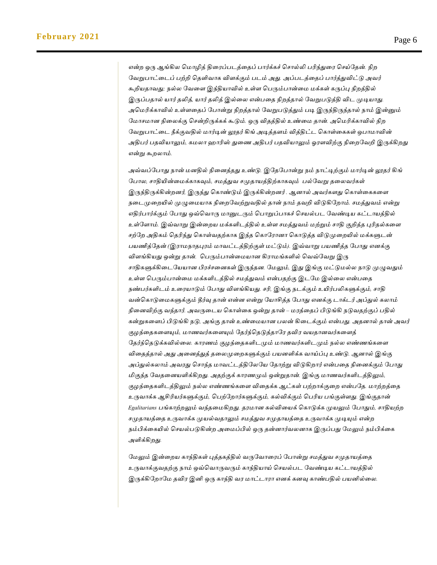என்ற ஒரு ஆங்கில மொழித் திரைப்படத்தைப் பார்க்கச் சொல்லி பரிந்துரை செய்தேன். நிற *னவறு ாட்மடப் ற்றி கதளிவாக விளக்கும் டம் அது. அப் டத்மதப் ார்த்துவிட்டு அவர் கூறிேதாவது; நல்ல னவமள இந்திோவில் உள்ள க ரும் ான்மை ைக்கள் கருப்பு நிறத்தில் இருப் தால் ோர் தலித், ோர் தலித் இல்மல என் மத நிறத்தால் னவறு டுத்தி விட முடிோது.*  அமெரிக்காவில் உள்ளதைப் போன்று நிறத்தால் வேறுபடுத்தும் படி இருந்திருந்தால் நாம் இன்னும் *னைாசைாே நிமலக்கு கசன்றிருக்கக் கூடும். ஒரு விதத்தில் உண்மை தான். அகைரிக்காவில் நிற னவறு ாட்மட நீக்குவதில் ைார்டின் லூதர் கிங் அடித்தளம் வித்திட்ட ககாள்மககள் ஒ ாைாவின் அதி ர் தவிோலும், கைலா ஹாரிஸ் துமண அதி ர் தவிோலும் ஓ ளவிற்கு நிமறனவறி இருக்கிறது என்று கூறலாம்.* 

அவ்வப்போது நான் மனதில் நினைத்தது உண்டு. இதேபோன்று நம் நாட்டிற்கும் மார்டின் லூதர் கிங் *ன ால, சாதியின்மைக்காகவும், சைத்துவ சமுதாேத்திற்காகவும் ல்னவறு தமலவர்கள் இருந்திருக்கின்றேர், இருந்து ககாண்டும் இருக்கின்றேர் . ஆோல் அவர்களது ககாள்மககமள நமடமுமறயில் முழுமைோக நிமறனவற்றுவதில் தான் நாம் தவறி விடுகினறாம். சைத்துவம் என்று*  எதிர்பார்க்கும் போது ஒவ்வொரு மானுடரும் பொறுப்பாகச் செயல்பட வேண்டிய கட்டாயத்தில் *உள்னளாம். இவ்வாறு இன்மறே ைக்களிடத்தில் உள்ள சைத்துவம் ைற்றும் சாதி குறித்த புரிதல்கமள சற்னற அதிகம் கதரிந்து ககாள்வதற்காக இந்த ககான ாோ ககாடுத்த விடுமுமறயில் ைக்களுடன் பயணித்தேன் (இராமநாதபுரம் மாவட்டத்திற்குள் மட்டும்). இவ்வாறு பயணித்த போது எனக்கு விளங்கியது ஒன்று தான். பெரும்பான்மையான கிராமங்களில் வெவ்வேறு இரு சாதிகளுக்கிமடனேோே பி ச்சமேகள் இருந்தே. னைலும், இது இங்கு ைட்டுைல்ல நாடு முழுவதும் உள்ள க ரும் ான்மை ைக்களிடத்தில் சைத்துவம் என் தற்கு இடனை இல்மல என் மத நண் ர்களிடம் உம ோடும் ன ாது விளங்கிேது. சரி, இங்கு நடக்கும் உயிர் லிகளுக்கும், சாதி வன்ககாடுமைகளுக்கும் தீர்வு தான் என்ே என்று னோசித்த ன ாது எேக்கு டாக்டர் அப்துல் கலாம் நிமேவிற்கு வந்தார். அவருமடே ககாள்மக ஒன்று தான் – ை த்மதப் பிடுங்கி நடுவதற்குப் தில் கன்றுகமளப் பிடுங்கி நடு, அங்கு தான் உண்மைோே லன் கிமடக்கும் என் து. அதோல் தான் அவர் குேந்மதகமளயும், ைாணவர்கமளயும் னதர்ந்கதடுத்தான தவி வேதாேவர்கமளத் னதர்ந்கதடுக்கவில்மல. கா ணம் குேந்மதகளிடமும் ைாணவர்களிடமும் நல்ல எண்ணங்கமள விமதத்தால் அது அமேத்துத் தமலமுமறகளுக்கும் ேேளிக்க வாய்ப்பு உண்டு. ஆோல் இங்கு*  அப்துல்கலாம் அவரது சொந்த மாவட்டத்திலேயே தோற்று விடுகிறார் என்பதை நினைக்கும் போது *மிகுந்த னவதமேேளிக்கிறது. அதற்குக் கா ணமும் ஒன்றுதான். இங்கு ைாணவர்களிடத்திலும், குேந்மதகளிடத்திலும் நல்ல எண்ணங்கமள விமதக்க ஆட்கள் ற்றாக்குமற என் னத. ைாற்றத்மத உருவாக்க ஆசிரிேர்களுக்கும், க ற்னறார்களுக்கும், கல்விக்கும் க ரிே ங்குள்ளது. இங்குதான் Egalitarians ங்காற்றலும் வந்தமைகிறது. த ைாே கல்விமேக் ககாடுக்க முேலும் ன ாதும், சாதிேற்ற*  சமுதாயத்தை உருவாக்க முயல்வதாலும் சமத்துவ சமுதாயத்தை உருவாக்க முடியும் என்ற *நம்பிக்மகயில் கசேல் டுகின்ற அமைப்பில் ஒரு தன்ோர்வலோக இருப் து னைலும் நம்பிக்மக அளிக்கிறது.*

*னைலும் இன்மறே காந்திகள் புத்தகத்தில் வருனவாம ப் ன ான்று சைத்துவ சமுதாேத்மத உருவாக்குவதற்கு நாம் ஒவ்கவாருவரும் காந்திோய் கசேல் ட னவண்டிே கட்டாேத்தில் இருக்கினறானை தவி இனி ஒரு காந்தி வ ைாட்டா ா எேக் கேவு காண் தில் ேனில்மல.*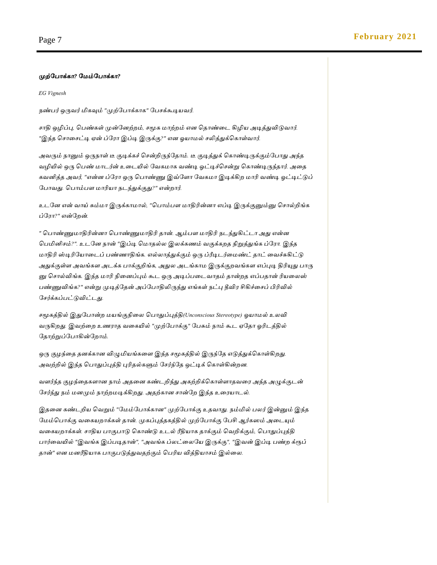#### *முற்ன ாக்கா? னைம்ன ாக்கா?*

*EG Vignesh*

*நண் ர் ஒருவர் மிகவும் "முற்ன ாக்காக" ன சக்கூடிேவர்.*

*சாதி ஒழிப்பு, க ண்கள் முன்னேற்றம், சமூக ைாற்றம் எே கதாண்மட கிழிே அடித்துவிடுவார். "இந்த கசாமசட்டி ஏன் ப்ன ா இப்டி இருக்கு?" எே ஓோைல் சலித்துக்ககாள்வார்.* 

*அவரும் நானும் ஒருநாள் டீ குடிக்கச் கசன்றிருந்னதாம். டீ குடித்துக் ககாண்டிருக்கும்ன ாது அந்த வழியில் ஒரு க ண் ைாடர்ன் உமடயில் னவகைாக வண்டி ஓட்டிச்கசன்று ககாண்டிருந்தார். அமத கவனித்த அவர், "என்ே ப்ன ா ஒரு க ாண்ணுஇவ்னளா னவகைா இடிக்கிற ைாரி வண்டி ஓட்டிட்டுப் ன ாவது. க ாம் ள ைாரிோ நடந்துக்குது?" என்றார்.*

*உடனே என் வாய் சும்ைா இருக்காைால், "க ாம் ள ைாதிரின்ோ எப்டி இருக்குனும்னு கசால்றிங்க ப்ன ா?" என்னறன்.*

*" க ாண்ணுைாதிரின்ோ க ாண்ணுைாதிரி தான். ஆம் ள ைாதிரி நடந்துகிட்டா அது என்ே க மினிசம்?". உடனே நான் "இப்டி கைாதல்ல இலக்கணம் வகுக்கறத நிறுத்துங்க ப்ன ா. இந்த ைாதிரி ஸ்டிரினோமடப் ண்ணாதிங்க. எல்லாத்துக்கும் ஒரு ப்ரீடிடர்மைண்ட் தாட் மவச்சுகிட்டு அதுக்குள்ள அவங்கள அடக்க ாக்குறிங்க, அதுல அடங்காை இருக்குறவங்கள எப்புடி திரியுது ாரு னு கசால்விங்க. இந்த ைாரி நிமேப்பும் கூட ஒரு அடிப் மடவாதம் தான்றத எப் தான் ரிேமலஸ் ண்ணுவிங்க?" என்று முடித்னதன் அப்ன ாதிலிருந்து எங்கள் நட்பு தீவி சிகிச்மசப் பிரிவில் னசர்க்கப் ட்டுவிட்டது.*

*சமூகத்தில் இதுன ான்ற ைேங்குநிமல க ாதுப்புத்தி(Unconscious Stereotype) ஓோைல் உலவி வருகிறது. இவற்மற உண ாத வமகயில் "முற்ன ாக்கு" ன சும் நாம் கூட ஏனதா ஓரிடத்தில் னதாற்றுப்ன ாகின்னறாம்.* 

*ஒரு குேந்மத தேக்காே விழுமிேங்கமள இந்த சமூகத்தில் இருந்னத எடுத்துக்ககாள்கிறது. அவற்றில் இந்த க ாதுப்புத்தி புரிதல்களும் னசர்ந்னத ஒட்டிக் ககாள்கின்றே.*

*வளர்ந்த குேந்மதகளாே நாம் அதமே கண்டறிந்து அகற்றிக்ககாள்ளாதவம அந்த அழுக்குடன் னசர்ந்து நம் ைேமும் நாற்றைடிக்கிறது. அதற்காே சான்னற இந்த உம ோடல்.* 

*இதமே கண்டறிே கவறும் "னைம்ன ாக்காே" முற்ன ாக்கு உதவாது. நம்மில் லர் இன்னும் இந்த னைம்க ாக்கு வமகேறாக்கள் தான். முகப்புத்தகத்தில் முற்ன ாக்கு ன சி ஆர்கஸம் அமடயும் வமகேறாக்கள். சாதிே ாகு ாடு ககாண்டு உடல் ரீதிோக தாக்கும் கவறிக்கும், க ாதுப்புத்தி ார்மவயில் "இவங்க இப் டிதான்", "அவங்க ப்லட்மலனே இருக்கு", "இவன் இப்டி ண்ற க்ரூப் தான்" எே ைேரீதிோக ாகு டுத்துவதற்கும் க ரிே வித்திோசம் இல்மல.*